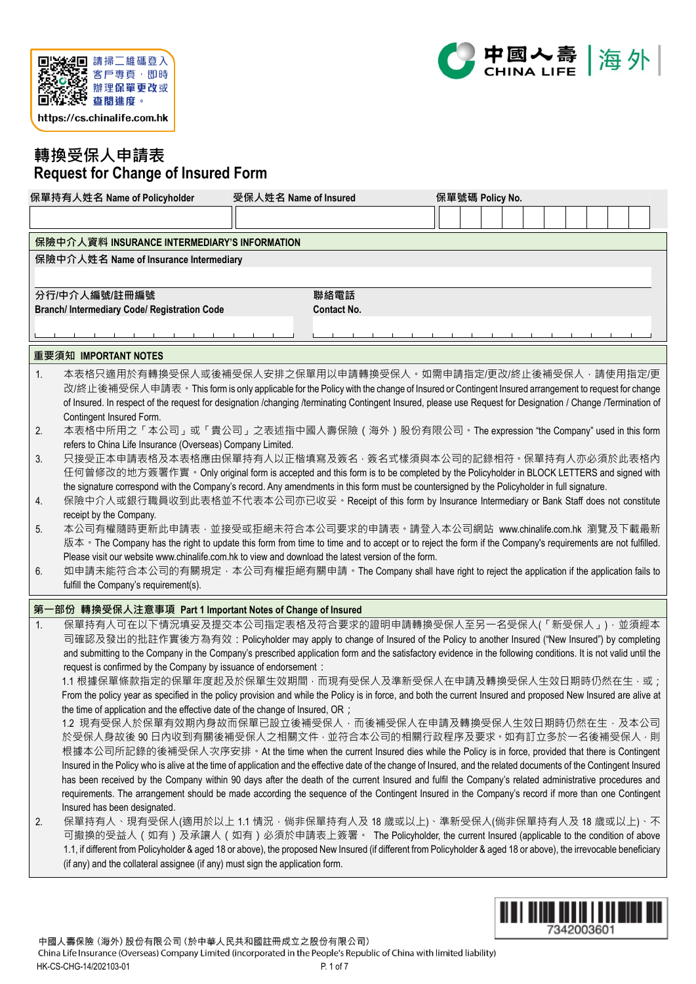



# **轉換受保人申請表 Request for Change of Insured Form**

|                | 保單持有人姓名 Name of Policyholder                                                                                                                                                                                                                                                                                                                                                                                                                                                                                                                                                                                                                                                                                                                                                                                                                                                                                                                                                                                                                                                                                                                                                                                                                                                                                                                                    | 受保人姓名 Name of Insured |                    | 保單號碼 Policy No. |  |  |  |  |  |  |  |  |  |  |
|----------------|-----------------------------------------------------------------------------------------------------------------------------------------------------------------------------------------------------------------------------------------------------------------------------------------------------------------------------------------------------------------------------------------------------------------------------------------------------------------------------------------------------------------------------------------------------------------------------------------------------------------------------------------------------------------------------------------------------------------------------------------------------------------------------------------------------------------------------------------------------------------------------------------------------------------------------------------------------------------------------------------------------------------------------------------------------------------------------------------------------------------------------------------------------------------------------------------------------------------------------------------------------------------------------------------------------------------------------------------------------------------|-----------------------|--------------------|-----------------|--|--|--|--|--|--|--|--|--|--|
|                |                                                                                                                                                                                                                                                                                                                                                                                                                                                                                                                                                                                                                                                                                                                                                                                                                                                                                                                                                                                                                                                                                                                                                                                                                                                                                                                                                                 |                       |                    |                 |  |  |  |  |  |  |  |  |  |  |
|                | 保險中介人資料 INSURANCE INTERMEDIARY'S INFORMATION                                                                                                                                                                                                                                                                                                                                                                                                                                                                                                                                                                                                                                                                                                                                                                                                                                                                                                                                                                                                                                                                                                                                                                                                                                                                                                                    |                       |                    |                 |  |  |  |  |  |  |  |  |  |  |
|                | 保險中介人姓名 Name of Insurance Intermediary                                                                                                                                                                                                                                                                                                                                                                                                                                                                                                                                                                                                                                                                                                                                                                                                                                                                                                                                                                                                                                                                                                                                                                                                                                                                                                                          |                       |                    |                 |  |  |  |  |  |  |  |  |  |  |
|                |                                                                                                                                                                                                                                                                                                                                                                                                                                                                                                                                                                                                                                                                                                                                                                                                                                                                                                                                                                                                                                                                                                                                                                                                                                                                                                                                                                 |                       |                    |                 |  |  |  |  |  |  |  |  |  |  |
|                | 分行/中介人編號/註冊編號                                                                                                                                                                                                                                                                                                                                                                                                                                                                                                                                                                                                                                                                                                                                                                                                                                                                                                                                                                                                                                                                                                                                                                                                                                                                                                                                                   |                       | 聯絡電話               |                 |  |  |  |  |  |  |  |  |  |  |
|                | Branch/ Intermediary Code/ Registration Code                                                                                                                                                                                                                                                                                                                                                                                                                                                                                                                                                                                                                                                                                                                                                                                                                                                                                                                                                                                                                                                                                                                                                                                                                                                                                                                    |                       | <b>Contact No.</b> |                 |  |  |  |  |  |  |  |  |  |  |
|                |                                                                                                                                                                                                                                                                                                                                                                                                                                                                                                                                                                                                                                                                                                                                                                                                                                                                                                                                                                                                                                                                                                                                                                                                                                                                                                                                                                 |                       |                    |                 |  |  |  |  |  |  |  |  |  |  |
|                | 重要須知 IMPORTANT NOTES                                                                                                                                                                                                                                                                                                                                                                                                                                                                                                                                                                                                                                                                                                                                                                                                                                                                                                                                                                                                                                                                                                                                                                                                                                                                                                                                            |                       |                    |                 |  |  |  |  |  |  |  |  |  |  |
| 1.<br>2.<br>3. | 本表格只適用於有轉換受保人或後補受保人安排之保單用以申請轉換受保人。如需申請指定/更改/終止後補受保人‧請使用指定/更<br>改/終止後補受保人申請表。This form is only applicable for the Policy with the change of Insured or Contingent Insured arrangement to request for change<br>of Insured. In respect of the request for designation /changing /terminating Contingent Insured, please use Request for Designation / Change /Termination of<br>Contingent Insured Form.<br>本表格中所用之「本公司」或「貴公司」之表述指中國人壽保險 (海外)股份有限公司 · The expression "the Company" used in this form<br>refers to China Life Insurance (Overseas) Company Limited.<br>只接受正本申請表格及本表格應由保單持有人以正楷填寫及簽名 · 簽名式樣須與本公司的記錄相符 · 保單持有人亦必須於此表格內<br>任何曾修改的地方簽署作實 • Only original form is accepted and this form is to be completed by the Policyholder in BLOCK LETTERS and signed with<br>the signature correspond with the Company's record. Any amendments in this form must be countersigned by the Policyholder in full signature.                                                                                                                                                                                                                                                                                                                                                                                                                                        |                       |                    |                 |  |  |  |  |  |  |  |  |  |  |
| 4.<br>5.       | 保險中介人或銀行職員收到此表格並不代表本公司亦已收妥。Receipt of this form by Insurance Intermediary or Bank Staff does not constitute<br>receipt by the Company.<br>本公司有權隨時更新此申請表,並接受或拒絕未符合本公司要求的申請表。請登入本公司網站 www.chinalife.com.hk 瀏覽及下載最新<br>版本 • The Company has the right to update this form from time to time and to accept or to reject the form if the Company's requirements are not fulfilled.<br>Please visit our website www.chinalife.com.hk to view and download the latest version of the form.                                                                                                                                                                                                                                                                                                                                                                                                                                                                                                                                                                                                                                                                                                                                                                                                                                                                             |                       |                    |                 |  |  |  |  |  |  |  |  |  |  |
| 6.             | 如申請未能符合本公司的有關規定 · 本公司有權拒絕有關申請 · The Company shall have right to reject the application if the application fails to<br>fulfill the Company's requirement(s).                                                                                                                                                                                                                                                                                                                                                                                                                                                                                                                                                                                                                                                                                                                                                                                                                                                                                                                                                                                                                                                                                                                                                                                                     |                       |                    |                 |  |  |  |  |  |  |  |  |  |  |
|                | 第一部份 轉換受保人注意事項 Part 1 Important Notes of Change of Insured                                                                                                                                                                                                                                                                                                                                                                                                                                                                                                                                                                                                                                                                                                                                                                                                                                                                                                                                                                                                                                                                                                                                                                                                                                                                                                      |                       |                    |                 |  |  |  |  |  |  |  |  |  |  |
| 1.             | 保單持有人可在以下情況填妥及提交本公司指定表格及符合要求的證明申請轉換受保人至另一名受保人(「新受保人」) · 並須經本<br>司確認及發出的批註作實後方為有效:Policyholder may apply to change of Insured of the Policy to another Insured ("New Insured") by completing<br>and submitting to the Company in the Company's prescribed application form and the satisfactory evidence in the following conditions. It is not valid until the<br>request is confirmed by the Company by issuance of endorsement :<br>1.1 根據保單條款指定的保單年度起及於保單生效期間 · 而現有受保人及準新受保人在申請及轉換受保人生效日期時仍然在生 · 或;<br>From the policy year as specified in the policy provision and while the Policy is in force, and both the current Insured and proposed New Insured are alive at<br>the time of application and the effective date of the change of Insured, OR ;<br>1.2 現有受保人於保單有效期內身故而保單已設立後補受保人,而後補受保人在申請及轉換受保人生效日期時仍然在生,及本公司<br>於受保人身故後 90 日内收到有關後補受保人之相關文件 · 並符合本公司的相關行政程序及要求 · 如有訂立多於一名後補受保人 · 則<br>根據本公司所記錄的後補受保人次序安排 • At the time when the current Insured dies while the Policy is in force, provided that there is Contingent<br>Insured in the Policy who is alive at the time of application and the effective date of the change of Insured, and the related documents of the Contingent Insured<br>has been received by the Company within 90 days after the death of the current Insured and fulfil the Company's related administrative procedures and |                       |                    |                 |  |  |  |  |  |  |  |  |  |  |
| 2.             | requirements. The arrangement should be made according the sequence of the Contingent Insured in the Company's record if more than one Contingent<br>Insured has been designated.<br>保單持有人、現有受保人(適用於以上 1.1 情況 · 倘非保單持有人及 18 歲或以上)、準新受保人(倘非保單持有人及 18 歲或以上)、不<br>可撤换的受益人(如有)及承讓人(如有)必須於申請表上簽署。 The Policyholder, the current Insured (applicable to the condition of above<br>1.1, if different from Policyholder & aged 18 or above), the proposed New Insured (if different from Policyholder & aged 18 or above), the irrevocable beneficiary<br>(if any) and the collateral assignee (if any) must sign the application form.                                                                                                                                                                                                                                                                                                                                                                                                                                                                                                                                                                                                                                                                                                                                 |                       |                    |                 |  |  |  |  |  |  |  |  |  |  |

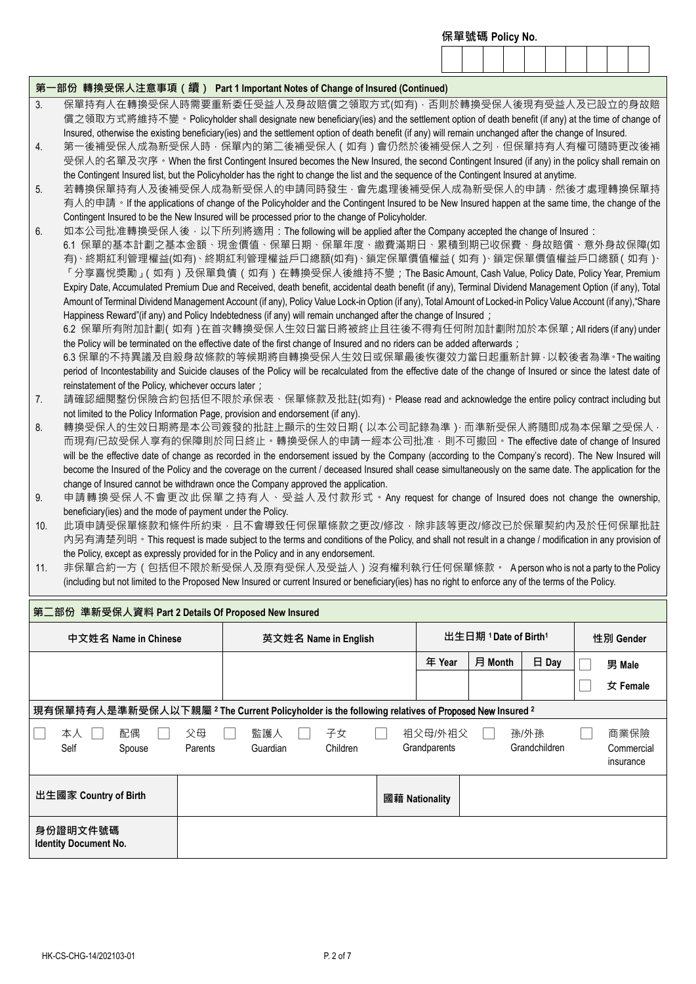| 第一部份 轉換受保人注意事項(續) Part 1 Important Notes of Change of Insured (Continued) |  |
|---------------------------------------------------------------------------|--|

- 3. 保單持有人在轉換受保人時需要重新委任受益人及身故賠償之領取方式(如有),否則於轉換受保人後現有受益人及已設立的身故賠 償之領取方式將維持不變 • Policyholder shall designate new beneficiary(ies) and the settlement option of death benefit (if any) at the time of change of Insured, otherwise the existing beneficiary(ies) and the settlement option of death benefit (if any) will remain unchanged after the change of Insured.
- 4. 第一後補受保人成為新受保人時,保單內的第二後補受保人(如有)會仍然於後補受保人之列,但保單持有人有權可隨時更改後補 受保人的名單及次序。When the first Contingent Insured becomes the New Insured, the second Contingent Insured (if any) in the policy shall remain on the Contingent Insured list, but the Policyholder has the right to change the list and the sequence of the Contingent Insured at anytime.
- 5. 若轉換保單持有人及後補受保人成為新受保人的申請同時發生,會先處理後補受保人成為新受保人的申請,然後才處理轉換保單持 有人的申請。If the applications of change of the Policyholder and the Contingent Insured to be New Insured happen at the same time, the change of the Contingent Insured to be the New Insured will be processed prior to the change of Policyholder.
- 6. 如本公司批准轉換受保人後,以下所列將適用: The following will be applied after the Company accepted the change of Insured:
	- 6.1 保單的基本計劃之基本金額、現金價值、保單日期、保單年度、繳費滿期日、累積到期已收保費、身故賠償、意外身故保障(如 有)、終期紅利管理權益(如有)、終期紅利管理權益戶口總額(如有)、鎖定保單價值權益(如有)、鎖定保單價值權益戶口總額(如有)、 「分享喜悅獎勵」( 如有)及保單負債(如有)在轉換受保人後維持不變;The Basic Amount, Cash Value, Policy Date, Policy Year, Premium Expiry Date, Accumulated Premium Due and Received, death benefit, accidental death benefit (if any), Terminal Dividend Management Option (if any), Total Amount of Terminal Dividend Management Account (if any), Policy Value Lock-in Option (if any), Total Amount of Locked-in Policy Value Account (if any),"Share Happiness Reward"(if any) and Policy Indebtedness (if any) will remain unchanged after the change of Insured;

6.2 保單所有附加計劃(如有)在首次轉換受保人生效日當日將被終止且往後不得有任何附加計劃附加於本保單;All riders (if any) under the Policy will be terminated on the effective date of the first change of Insured and no riders can be added afterwards;

6.3 保單的不持異議及自殺身故條款的等候期將自轉換受保人生效日或保單最後恢復效力當日起重新計算,以較後者為準。The waiting period of Incontestability and Suicide clauses of the Policy will be recalculated from the effective date of the change of Insured or since the latest date of reinstatement of the Policy, whichever occurs later;

- 7. 請確認細閱整份保險合約包括但不限於承保表、保單條款及批註(如有)。Please read and acknowledge the entire policy contract including but not limited to the Policy Information Page, provision and endorsement (if any).
- 8. 轉換受保人的生效日期將是本公司簽發的批註上顯示的生效日期(以本公司記錄為準),而準新受保人將隨即成為本保單之受保人, 而現有/已故受保人享有的保障則於同日終止。轉換受保人的申請一經本公司批准,則不可撤回。The effective date of change of Insured will be the effective date of change as recorded in the endorsement issued by the Company (according to the Company's record). The New Insured will become the Insured of the Policy and the coverage on the current / deceased Insured shall cease simultaneously on the same date. The application for the change of Insured cannot be withdrawn once the Company approved the application.
- 9. 申請轉換受保人不會更改此保單之持有人、受益人及付款形式。Any request for change of Insured does not change the ownership, beneficiary(ies) and the mode of payment under the Policy.
- 10. 此項申請受保單條款和條件所約束,且不會導致任何保單條款之更改/修改,除非該等更改/修改已於保單契約內及於任何保單批註 內另有清楚列明 • This request is made subject to the terms and conditions of the Policy, and shall not result in a change / modification in any provision of the Policy, except as expressly provided for in the Policy and in any endorsement.
- 11. 非保單合約一方(包括但不限於新受保人及原有受保人及受益人)沒有權利執行任何保單條款。 A person who is not a party to the Policy (including but not limited to the Proposed New Insured or current Insured or beneficiary(ies) has no right to enforce any of the terms of the Policy.

| 第二部份 準新受保人資料 Part 2 Details Of Proposed New Insured                                                                     |               |                 |                      |  |                         |                                  |                       |  |                                 |  |  |  |  |  |
|-------------------------------------------------------------------------------------------------------------------------|---------------|-----------------|----------------------|--|-------------------------|----------------------------------|-----------------------|--|---------------------------------|--|--|--|--|--|
| 中文姓名 Name in Chinese                                                                                                    |               |                 | 英文姓名 Name in English |  |                         | 出生日期 1Date of Birth <sup>1</sup> | 性別 Gender             |  |                                 |  |  |  |  |  |
|                                                                                                                         |               |                 |                      |  | 年 Year                  | 月 Month                          | $\boxminus$ Day       |  | 男 Male                          |  |  |  |  |  |
|                                                                                                                         |               |                 |                      |  |                         |                                  |                       |  | 女 Female                        |  |  |  |  |  |
| 現有保單持有人是準新受保人以下親屬 <sup>2</sup> The Current Policyholder is the following relatives of Proposed New Insured <sup>2</sup> |               |                 |                      |  |                         |                                  |                       |  |                                 |  |  |  |  |  |
| 配偶<br>本人<br>Self<br>Spouse                                                                                              | 父母<br>Parents | 監護人<br>Guardian | 子女<br>Children       |  | 祖父母/外祖父<br>Grandparents |                                  | 孫/外孫<br>Grandchildren |  | 商業保險<br>Commercial<br>insurance |  |  |  |  |  |
| 出生國家 Country of Birth                                                                                                   |               |                 |                      |  | 國藉 Nationality          |                                  |                       |  |                                 |  |  |  |  |  |
| 身份證明文件號碼<br><b>Identity Document No.</b>                                                                                |               |                 |                      |  |                         |                                  |                       |  |                                 |  |  |  |  |  |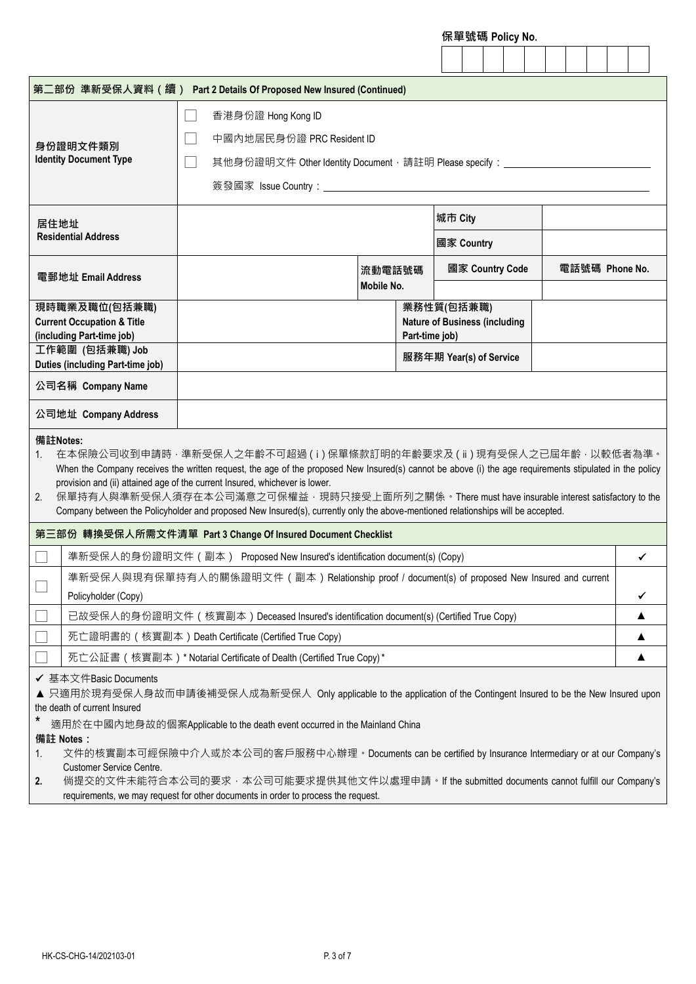| 第二部份 準新受保人資料 (續) Part 2 Details Of Proposed New Insured (Continued)                                                                                                                                                                                                                                                                |                                                                                                                                                                                                                                                                                                                                                                                                                                                                                                                                                                                                    |                                                                                                                |                         |  |  |            |                                                    |                |                 |        |  |                |  |  |  |  |   |  |
|------------------------------------------------------------------------------------------------------------------------------------------------------------------------------------------------------------------------------------------------------------------------------------------------------------------------------------|----------------------------------------------------------------------------------------------------------------------------------------------------------------------------------------------------------------------------------------------------------------------------------------------------------------------------------------------------------------------------------------------------------------------------------------------------------------------------------------------------------------------------------------------------------------------------------------------------|----------------------------------------------------------------------------------------------------------------|-------------------------|--|--|------------|----------------------------------------------------|----------------|-----------------|--------|--|----------------|--|--|--|--|---|--|
|                                                                                                                                                                                                                                                                                                                                    |                                                                                                                                                                                                                                                                                                                                                                                                                                                                                                                                                                                                    | 香港身份證 Hong Kong ID                                                                                             |                         |  |  |            |                                                    |                |                 |        |  |                |  |  |  |  |   |  |
|                                                                                                                                                                                                                                                                                                                                    |                                                                                                                                                                                                                                                                                                                                                                                                                                                                                                                                                                                                    | 中國內地居民身份證 PRC Resident ID                                                                                      |                         |  |  |            |                                                    |                |                 |        |  |                |  |  |  |  |   |  |
|                                                                                                                                                                                                                                                                                                                                    | 身份證明文件類別<br><b>Identity Document Type</b>                                                                                                                                                                                                                                                                                                                                                                                                                                                                                                                                                          | 其他身份證明文件 Other Identity Document · 請註明 Please specify : _________                                              |                         |  |  |            |                                                    |                |                 |        |  |                |  |  |  |  |   |  |
|                                                                                                                                                                                                                                                                                                                                    |                                                                                                                                                                                                                                                                                                                                                                                                                                                                                                                                                                                                    | 簽發國家 Issue Country: National Action of the Country: National Action of the Country of the Country of the Count |                         |  |  |            |                                                    |                |                 |        |  |                |  |  |  |  |   |  |
|                                                                                                                                                                                                                                                                                                                                    |                                                                                                                                                                                                                                                                                                                                                                                                                                                                                                                                                                                                    |                                                                                                                |                         |  |  |            |                                                    |                |                 |        |  |                |  |  |  |  |   |  |
| 居住地址                                                                                                                                                                                                                                                                                                                               | <b>Residential Address</b>                                                                                                                                                                                                                                                                                                                                                                                                                                                                                                                                                                         |                                                                                                                |                         |  |  |            |                                                    | 城市 City        |                 |        |  |                |  |  |  |  |   |  |
|                                                                                                                                                                                                                                                                                                                                    |                                                                                                                                                                                                                                                                                                                                                                                                                                                                                                                                                                                                    |                                                                                                                |                         |  |  |            |                                                    | 國家 Country     |                 |        |  |                |  |  |  |  |   |  |
|                                                                                                                                                                                                                                                                                                                                    | 電郵地址 Email Address                                                                                                                                                                                                                                                                                                                                                                                                                                                                                                                                                                                 |                                                                                                                |                         |  |  |            | 流動電話號碼                                             |                | 國家 Country Code |        |  | 電話號碼 Phone No. |  |  |  |  |   |  |
|                                                                                                                                                                                                                                                                                                                                    | 現時職業及職位(包括兼職)                                                                                                                                                                                                                                                                                                                                                                                                                                                                                                                                                                                      |                                                                                                                |                         |  |  | Mobile No. |                                                    |                |                 |        |  |                |  |  |  |  |   |  |
|                                                                                                                                                                                                                                                                                                                                    | <b>Current Occupation &amp; Title</b>                                                                                                                                                                                                                                                                                                                                                                                                                                                                                                                                                              |                                                                                                                |                         |  |  |            | 業務性質(包括兼職)<br><b>Nature of Business (including</b> |                |                 |        |  |                |  |  |  |  |   |  |
|                                                                                                                                                                                                                                                                                                                                    | (including Part-time job)<br>工作範圍 (包括兼職) Job                                                                                                                                                                                                                                                                                                                                                                                                                                                                                                                                                       |                                                                                                                |                         |  |  |            |                                                    | Part-time job) |                 |        |  |                |  |  |  |  |   |  |
|                                                                                                                                                                                                                                                                                                                                    | <b>Duties (including Part-time job)</b>                                                                                                                                                                                                                                                                                                                                                                                                                                                                                                                                                            |                                                                                                                | 服務年期 Year(s) of Service |  |  |            |                                                    |                |                 |        |  |                |  |  |  |  |   |  |
|                                                                                                                                                                                                                                                                                                                                    | 公司名稱 Company Name                                                                                                                                                                                                                                                                                                                                                                                                                                                                                                                                                                                  |                                                                                                                |                         |  |  |            |                                                    |                |                 |        |  |                |  |  |  |  |   |  |
|                                                                                                                                                                                                                                                                                                                                    | 公司地址 Company Address                                                                                                                                                                                                                                                                                                                                                                                                                                                                                                                                                                               |                                                                                                                |                         |  |  |            |                                                    |                |                 |        |  |                |  |  |  |  |   |  |
| 1.<br>2.                                                                                                                                                                                                                                                                                                                           | 備註Notes:<br>在本保險公司收到申請時 · 準新受保人之年齡不可超過 (         i        ) 保單條款訂明的年齡要求及 (         ii        ) 現有受保人之已屆年齡 · 以較低者為準 ·<br>When the Company receives the written request, the age of the proposed New Insured(s) cannot be above (i) the age requirements stipulated in the policy<br>provision and (ii) attained age of the current Insured, whichever is lower.<br>保單持有人與準新受保人須存在本公司滿意之可保權益,現時只接受上面所列之關係。There must have insurable interest satisfactory to the<br>Company between the Policyholder and proposed New Insured(s), currently only the above-mentioned relationships will be accepted. |                                                                                                                |                         |  |  |            |                                                    |                |                 |        |  |                |  |  |  |  |   |  |
|                                                                                                                                                                                                                                                                                                                                    | 第三部份 轉換受保人所需文件清單 Part 3 Change Of Insured Document Checklist                                                                                                                                                                                                                                                                                                                                                                                                                                                                                                                                       |                                                                                                                |                         |  |  |            |                                                    |                |                 |        |  |                |  |  |  |  |   |  |
|                                                                                                                                                                                                                                                                                                                                    | 準新受保人的身份證明文件 ( 副本 ) Proposed New Insured's identification document(s) (Copy)                                                                                                                                                                                                                                                                                                                                                                                                                                                                                                                       |                                                                                                                |                         |  |  |            |                                                    |                |                 |        |  |                |  |  |  |  |   |  |
|                                                                                                                                                                                                                                                                                                                                    | 準新受保人與現有保單持有人的關係證明文件 ( 副本 ) Relationship proof / document(s) of proposed New Insured and current                                                                                                                                                                                                                                                                                                                                                                                                                                                                                                   |                                                                                                                |                         |  |  |            |                                                    |                |                 |        |  |                |  |  |  |  |   |  |
|                                                                                                                                                                                                                                                                                                                                    | Policyholder (Copy)<br>已故受保人的身份證明文件 (核實副本) Deceased Insured's identification document(s) (Certified True Copy)                                                                                                                                                                                                                                                                                                                                                                                                                                                                                     |                                                                                                                |                         |  |  |            |                                                    |                |                 | ✔<br>▲ |  |                |  |  |  |  |   |  |
|                                                                                                                                                                                                                                                                                                                                    | 死亡證明書的 (核實副本) Death Certificate (Certified True Copy)                                                                                                                                                                                                                                                                                                                                                                                                                                                                                                                                              |                                                                                                                |                         |  |  |            |                                                    |                |                 |        |  |                |  |  |  |  | ▲ |  |
|                                                                                                                                                                                                                                                                                                                                    |                                                                                                                                                                                                                                                                                                                                                                                                                                                                                                                                                                                                    |                                                                                                                |                         |  |  |            |                                                    |                |                 |        |  |                |  |  |  |  | ▲ |  |
| 死亡公証書 (核實副本) * Notarial Certificate of Dealth (Certified True Copy) *<br>✔ 基本文件Basic Documents<br>▲ 只適用於現有受保人身故而申請後補受保人成為新受保人 Only applicable to the application of the Contingent Insured to be the New Insured upon<br>the death of current Insured<br>適用於在中國內地身故的個案Applicable to the death event occurred in the Mainland China |                                                                                                                                                                                                                                                                                                                                                                                                                                                                                                                                                                                                    |                                                                                                                |                         |  |  |            |                                                    |                |                 |        |  |                |  |  |  |  |   |  |
| 1.<br>2.                                                                                                                                                                                                                                                                                                                           | 備註 Notes:<br>文件的核實副本可經保險中介人或於本公司的客戶服務中心辦理。Documents can be certified by Insurance Intermediary or at our Company's<br><b>Customer Service Centre</b><br>倘提交的文件未能符合本公司的要求,本公司可能要求提供其他文件以處理申請。If the submitted documents cannot fulfill our Company's                                                                                                                                                                                                                                                                                                                                                |                                                                                                                |                         |  |  |            |                                                    |                |                 |        |  |                |  |  |  |  |   |  |
|                                                                                                                                                                                                                                                                                                                                    | requirements, we may request for other documents in order to process the request.                                                                                                                                                                                                                                                                                                                                                                                                                                                                                                                  |                                                                                                                |                         |  |  |            |                                                    |                |                 |        |  |                |  |  |  |  |   |  |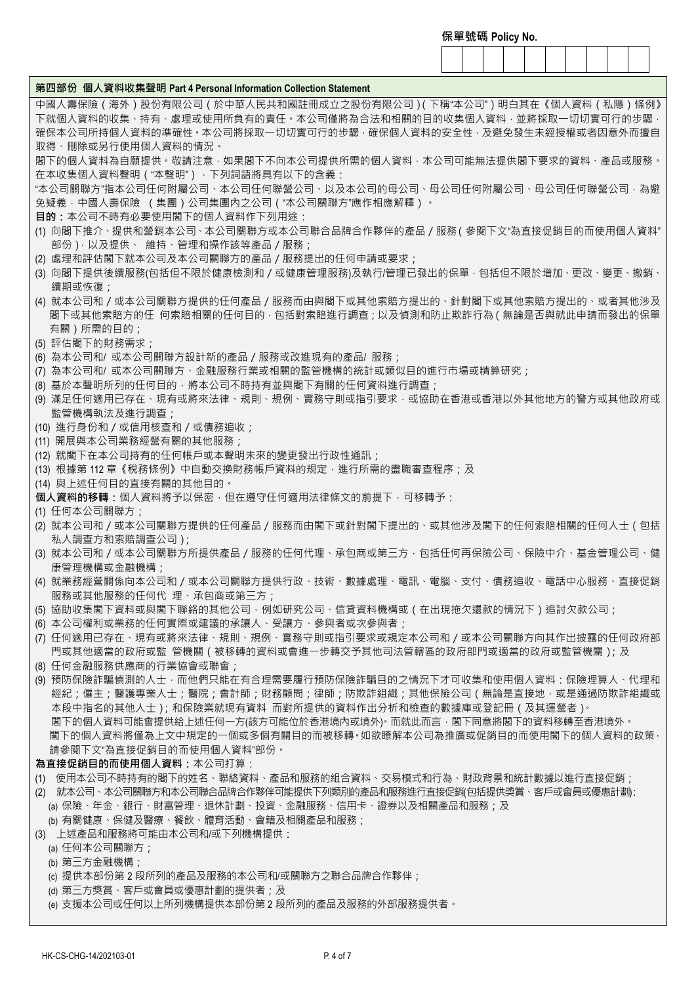

### **第四部份 個人資料收集聲明 Part 4 Personal Information Collection Statement**

中國人壽保險(海外)股份有限公司(於中華人民共和國註冊成立之股份有限公司)(下稱"本公司")明白其在《個人資料(私隱)條例》 下就個人資料的收集、持有、處理或使用所負有的責任。本公司僅將為合法和相關的目的收集個人資料,並將採取一切切實可行的步驟, 確保本公司所持個人資料的準確性。本公司將採取一切切實可行的步驟,確保個人資料的安全性,及避免發生未經授權或者因意外而擅自 取得、刪除或另行使用個人資料的情況。

閣下的個人資料為自願提供。敬請注意,如果閣下不向本公司提供所需的個人資料,本公司可能無法提供閣下要求的資料、產品或服務。 在本收集個人資料聲明("本聲明"),下列詞語將具有以下的含義:

"本公司關聯方"指本公司任何附屬公司、本公司任何聯營公司、以及本公司的母公司、母公司任何附屬公司、母公司任何聯營公司,為避 免疑義,中國人壽保險 (集團)公司集團內之公司("本公司關聯方"應作相應解釋)。

**目的:**本公司不時有必要使用閣下的個人資料作下列用途:

- (1) 向閣下推介、提供和營銷本公司、本公司關聯方或本公司聯合品牌合作夥伴的產品/服務(參閱下文"為直接促銷目的而使用個人資料" 部份),以及提供、 維持、管理和操作該等產品 / 服務;
- (2) 處理和評估閣下就本公司及本公司關聯方的產品/服務提出的任何申請或要求;
- (3) 向閣下提供後續服務(包括但不限於健康檢測和/或健康管理服務)及執行/管理已發出的保單,包括但不限於增加、更改、變更、撤銷、 續期或恢復;
- (4) 就本公司和/或本公司關聯方提供的任何產品/服務而由與閣下或其他索賠方提出的、針對閣下或其他索賠方提出的、或者其他涉及 閣下或其他索賠方的任 何索賠相關的任何目的,包括對索賠進行調查;以及偵測和防止欺詐行為(無論是否與就此申請而發出的保單 有關)所需的目的;
- (5) 評估閣下的財務需求;
- (6) 為本公司和/ 或本公司關聯方設計新的產品/服務或改進現有的產品/ 服務;
- (7) 為本公司和/ 或本公司關聯方、金融服務行業或相關的監管機構的統計或類似目的進行市場或精算研究;
- (8) 基於本聲明所列的任何目的,將本公司不時持有並與閣下有關的任何資料進行調查;
- (9) 滿足任何適用已存在、現有或將來法律、規則、規例、實務守則或指引要求,或協助在香港或香港以外其他地方的警方或其他政府或 監管機構執法及進行調查;
- (10) 進行身份和/或信用核查和/或債務追收;
- (11) 開展與本公司業務經營有關的其他服務;
- (12) 就閣下在本公司持有的任何帳戶或本聲明未來的變更發出行政性通訊;
- (13) 根據第 112 章 《稅務條例》中自動交換財務帳戶資料的規定, 進行所需的盡職審査程序; 及
- (14) 與上述任何目的直接有關的其他目的。
- **個人資料的移轉:**個人資料將予以保密,但在遵守任何適用法律條文的前提下,可移轉予:
- (1) 任何本公司關聯方;
- (2) 就本公司和/或本公司關聯方提供的任何產品/服務而由閣下或針對閣下提出的、或其他涉及閣下的任何索賠相關的任何人士(包括 私人調查方和索賠調查公司);
- (3) 就本公司和/或本公司關聯方所提供產品/服務的任何代理、承包商或第三方,包括任何再保險公司、保險中介、基金管理公司、健 康管理機構或金融機構;
- (4) 就業務經營關係向本公司和/或本公司關聯方提供行政、技術、數據處理、電訊、電腦、支付、債務追收、電話中心服務、直接促銷 服務或其他服務的任何代 理、承包商或第三方;
- (5) 協助收集閣下資料或與閣下聯絡的其他公司,例如研究公司、信貸資料機構或(在出現拖欠還款的情況下)追討欠款公司;
- (6) 本公司權利或業務的任何實際或建議的承讓人、受讓方、參與者或次參與者;
- (7) 任何適用已存在、現有或將來法律、規則、規例、實務守則或指引要求或規定本公司和/或本公司關聯方向其作出披露的任何政府部 門或其他適當的政府或監 管機關(被移轉的資料或會進一步轉交予其他司法管轄區的政府部門或適當的政府或監管機關);及
- (8) 任何金融服務供應商的行業協會或聯會;
- (9) 預防保險詐騙偵測的人士,而他們只能在有合理需要履行預防保險詐騙目的之情況下才可收集和使用個人資料:保險理算人、代理和 經紀;僱主;醫護專業人士;醫院;會計師;財務顧問;律師;防欺詐組織;其他保險公司(無論是直接地,或是通過防欺詐組織或 本段中指名的其他人士);和保險業就現有資料 而對所提供的資料作出分析和檢查的數據庫或登記冊(及其運營者)。 閣下的個人資料可能會提供給上述任何一方(該方可能位於香港境內或境外)。而就此而言,閣下同意將閣下的資料移轉至香港境外。 閣下的個人資料將僅為上文中規定的一個或多個有關目的而被移轉。如欲瞭解本公司為推廣或促銷目的而使用閣下的個人資料的政策, 請參閱下文"為直接促銷目的而使用個人資料"部份。

#### **為直接促銷目的而使用個人資料:**本公司打算:

(1) 使用本公司不時持有的閣下的姓名、聯絡資料、產品和服務的組合資料、交易模式和行為、財政背景和統計數據以進行直接促銷;

(2) 就本公司、本公司關聯方和本公司聯合品牌合作夥伴可能提供下列類別的產品和服務進行直接促銷(包括提供獎賞、客戶或會員或優惠計劃): (a) 保險、年金、銀行、財富管理、退休計劃、投資、金融服務、信用卡、證券以及相關產品和服務;及

- (b) 有關健康、保健及醫療、餐飲、體育活動、會籍及相關產品和服務;
- (3) 上述產品和服務將可能由本公司和/或下列機構提供:
	- (a) 任何本公司關聯方;
	- (b) 第三方金融機構;
	- (c) 提供本部份第 2 段所列的產品及服務的本公司和/或關聯方之聯合品牌合作夥伴;
	- (d) 第三方獎賞、客戶或會員或優惠計劃的提供者;及
	- (e) 支援本公司或任何以上所列機構提供本部份第 2 段所列的產品及服務的外部服務提供者。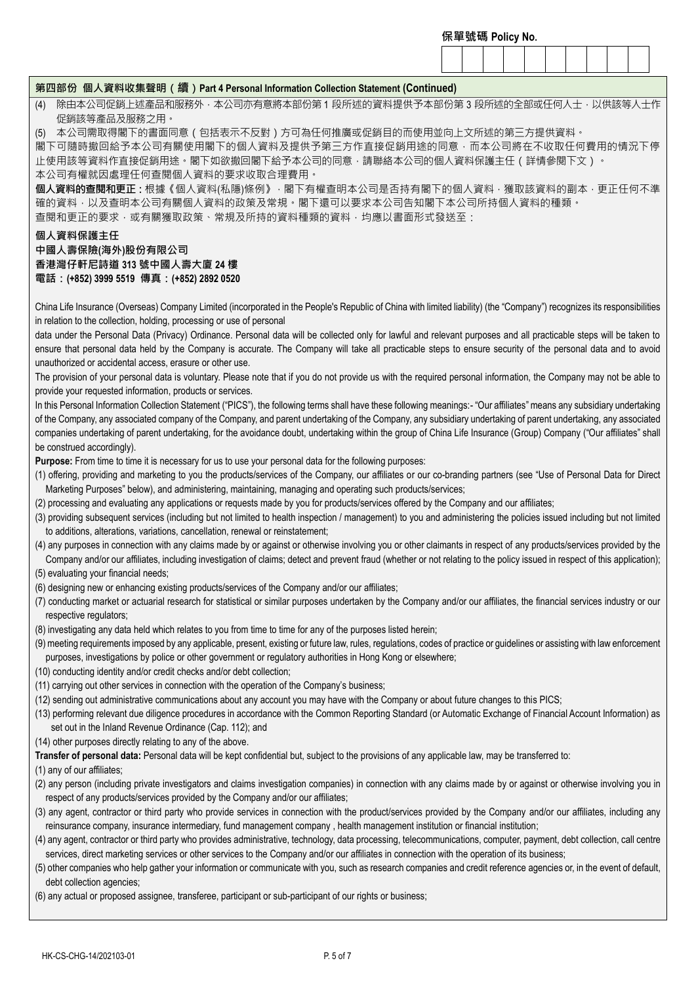# **第四部份 個人資料收集聲明(續)Part 4 Personal Information Collection Statement (Continued)**

(4) 除由本公司促銷上述產品和服務外,本公司亦有意將本部份第 1 段所述的資料提供予本部份第 3 段所述的全部或任何人士,以供該等人士作 促銷該等產品及服務之用。

(5) 本公司需取得閣下的書面同意(包括表示不反對)方可為任何推廣或促銷目的而使用並向上文所述的第三方提供資料。

閣下可隨時撤回給予本公司有關使用閣下的個人資料及提供予第三方作直接促銷用途的同意,而本公司將在不收取任何費用的情況下停 止使用該等資料作直接促銷用途。閣下如欲撤回閣下給予本公司的同意,請聯絡本公司的個人資料保護主任(詳情參閱下文)。 本公司有權就因處理任何查閱個人資料的要求收取合理費用。

**個人資料的查閱和更正:**根據《個人資料(私隱)條例》,閣下有權查明本公司是否持有閣下的個人資料,獲取該資料的副本,更正任何不準 確的資料,以及查明本公司有關個人資料的政策及常規。閣下還可以要求本公司告知閣下本公司所持個人資料的種類。 查閱和更正的要求,或有關獲取政策、常規及所持的資料種類的資料,均應以書面形式發送至:

#### **個人資料保護主任**

# **中國人壽保險(海外)股份有限公司**

**香港灣仔軒尼詩道 313 號中國人壽大廈 24 樓 電話:(+852) 3999 5519 傳真:(+852) 2892 0520**

China Life Insurance (Overseas) Company Limited (incorporated in the People's Republic of China with limited liability) (the "Company") recognizes its responsibilities in relation to the collection, holding, processing or use of personal

data under the Personal Data (Privacy) Ordinance. Personal data will be collected only for lawful and relevant purposes and all practicable steps will be taken to ensure that personal data held by the Company is accurate. The Company will take all practicable steps to ensure security of the personal data and to avoid unauthorized or accidental access, erasure or other use.

The provision of your personal data is voluntary. Please note that if you do not provide us with the required personal information, the Company may not be able to provide your requested information, products or services.

In this Personal Information Collection Statement ("PICS"), the following terms shall have these following meanings:- "Our affiliates" means any subsidiary undertaking of the Company, any associated company of the Company, and parent undertaking of the Company, any subsidiary undertaking of parent undertaking, any associated companies undertaking of parent undertaking, for the avoidance doubt, undertaking within the group of China Life Insurance (Group) Company ("Our affiliates" shall be construed accordingly).

**Purpose:** From time to time it is necessary for us to use your personal data for the following purposes:

- (1) offering, providing and marketing to you the products/services of the Company, our affiliates or our co-branding partners (see "Use of Personal Data for Direct Marketing Purposes" below), and administering, maintaining, managing and operating such products/services;
- (2) processing and evaluating any applications or requests made by you for products/services offered by the Company and our affiliates;
- (3) providing subsequent services (including but not limited to health inspection / management) to you and administering the policies issued including but not limited to additions, alterations, variations, cancellation, renewal or reinstatement;
- (4) any purposes in connection with any claims made by or against or otherwise involving you or other claimants in respect of any products/services provided by the Company and/or our affiliates, including investigation of claims; detect and prevent fraud (whether or not relating to the policy issued in respect of this application);
- (5) evaluating your financial needs;
- (6) designing new or enhancing existing products/services of the Company and/or our affiliates;
- (7) conducting market or actuarial research for statistical or similar purposes undertaken by the Company and/or our affiliates, the financial services industry or our respective regulators;
- (8) investigating any data held which relates to you from time to time for any of the purposes listed herein;
- (9) meeting requirements imposed by any applicable, present, existing or future law, rules, regulations, codes of practice or guidelines or assisting with law enforcement purposes, investigations by police or other government or regulatory authorities in Hong Kong or elsewhere;
- (10) conducting identity and/or credit checks and/or debt collection;
- (11) carrying out other services in connection with the operation of the Company's business;
- (12) sending out administrative communications about any account you may have with the Company or about future changes to this PICS;
- (13) performing relevant due diligence procedures in accordance with the Common Reporting Standard (or Automatic Exchange of Financial Account Information) as set out in the Inland Revenue Ordinance (Cap. 112); and
- (14) other purposes directly relating to any of the above.

**Transfer of personal data:** Personal data will be kept confidential but, subject to the provisions of any applicable law, may be transferred to:

(1) any of our affiliates;

- (2) any person (including private investigators and claims investigation companies) in connection with any claims made by or against or otherwise involving you in respect of any products/services provided by the Company and/or our affiliates;
- (3) any agent, contractor or third party who provide services in connection with the product/services provided by the Company and/or our affiliates, including any reinsurance company, insurance intermediary, fund management company, health management institution or financial institution;
- (4) any agent, contractor or third party who provides administrative, technology, data processing, telecommunications, computer, payment, debt collection, call centre services, direct marketing services or other services to the Company and/or our affiliates in connection with the operation of its business;
- (5) other companies who help gather your information or communicate with you, such as research companies and credit reference agencies or, in the event of default, debt collection agencies;
- (6) any actual or proposed assignee, transferee, participant or sub-participant of our rights or business;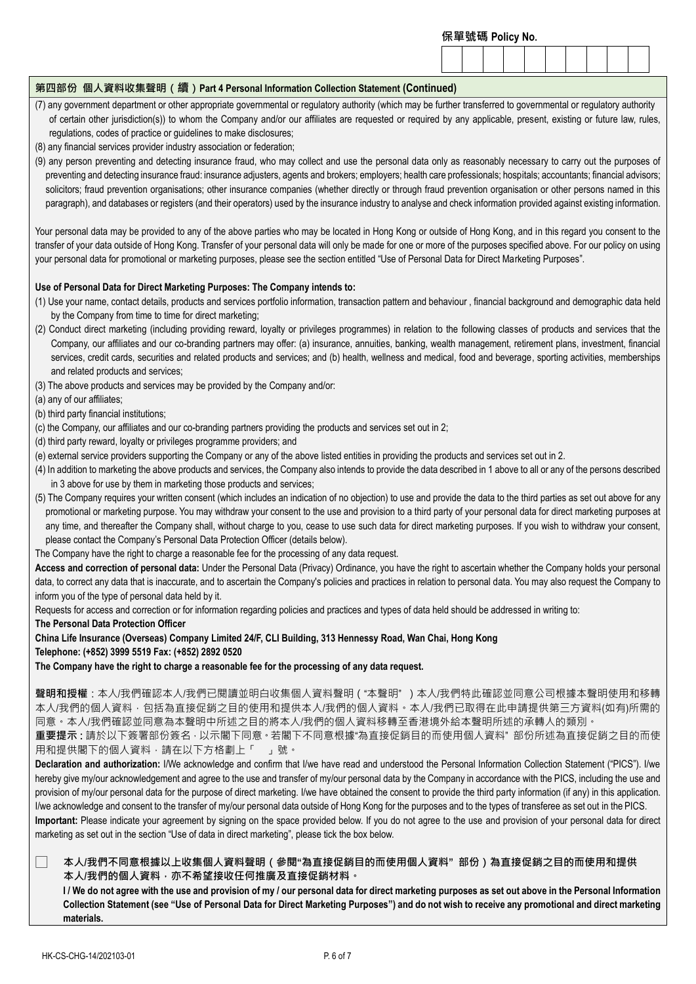- (7) any government department or other appropriate governmental or regulatory authority (which may be further transferred to governmental or regulatory authority of certain other jurisdiction(s)) to whom the Company and/or our affiliates are requested or required by any applicable, present, existing or future law, rules, regulations, codes of practice or guidelines to make disclosures;
- (8) any financial services provider industry association or federation;
- (9) any person preventing and detecting insurance fraud, who may collect and use the personal data only as reasonably necessary to carry out the purposes of preventing and detecting insurance fraud: insurance adjusters, agents and brokers; employers; health care professionals; hospitals; accountants; financial advisors; solicitors; fraud prevention organisations; other insurance companies (whether directly or through fraud prevention organisation or other persons named in this paragraph), and databases or registers (and their operators) used by the insurance industry to analyse and check information provided against existing information.

Your personal data may be provided to any of the above parties who may be located in Hong Kong or outside of Hong Kong, and in this regard you consent to the transfer of your data outside of Hong Kong. Transfer of your personal data will only be made for one or more of the purposes specified above. For our policy on using your personal data for promotional or marketing purposes, please see the section entitled "Use of Personal Data for Direct Marketing Purposes".

# **Use of Personal Data for Direct Marketing Purposes: The Company intends to:**

- (1) Use your name, contact details, products and services portfolio information, transaction pattern and behaviour , financial background and demographic data held by the Company from time to time for direct marketing;
- (2) Conduct direct marketing (including providing reward, loyalty or privileges programmes) in relation to the following classes of products and services that the Company, our affiliates and our co-branding partners may offer: (a) insurance, annuities, banking, wealth management, retirement plans, investment, financial services, credit cards, securities and related products and services; and (b) health, wellness and medical, food and beverage, sporting activities, memberships and related products and services;
- (3) The above products and services may be provided by the Company and/or:
- (a) any of our affiliates;
- (b) third party financial institutions;
- (c) the Company, our affiliates and our co-branding partners providing the products and services set out in 2;
- (d) third party reward, loyalty or privileges programme providers; and
- (e) external service providers supporting the Company or any of the above listed entities in providing the products and services set out in 2.
- (4) In addition to marketing the above products and services, the Company also intends to provide the data described in 1 above to all or any of the persons described in 3 above for use by them in marketing those products and services;
- (5) The Company requires your written consent (which includes an indication of no objection) to use and provide the data to the third parties as set out above for any promotional or marketing purpose. You may withdraw your consent to the use and provision to a third party of your personal data for direct marketing purposes at any time, and thereafter the Company shall, without charge to you, cease to use such data for direct marketing purposes. If you wish to withdraw your consent, please contact the Company's Personal Data Protection Officer (details below).
- The Company have the right to charge a reasonable fee for the processing of any data request.

**Access and correction of personal data:** Under the Personal Data (Privacy) Ordinance, you have the right to ascertain whether the Company holds your personal data, to correct any data that is inaccurate, and to ascertain the Company's policies and practices in relation to personal data. You may also request the Company to inform you of the type of personal data held by it.

Requests for access and correction or for information regarding policies and practices and types of data held should be addressed in writing to:

#### **The Personal Data Protection Officer**

**China Life Insurance (Overseas) Company Limited 24/F, CLI Building, 313 Hennessy Road, Wan Chai, Hong Kong Telephone: (+852) 3999 5519 Fax: (+852) 2892 0520**

### **The Company have the right to charge a reasonable fee for the processing of any data request.**

**聲明和授權**:本人/我們確認本人/我們已閱讀並明白收集個人資料聲明("本聲明" )本人/我們特此確認並同意公司根據本聲明使用和移轉 本人/我們的個人資料,包括為直接促銷之目的使用和提供本人/我們的個人資料。本人/我們已取得在此申請提供第三方資料(如有)所需的 同意。本人/我們確認並同意為本聲明中所述之目的將本人/我們的個人資料移轉至香港境外給本聲明所述的承轉人的類別。

**重要提示:**請於以下簽署部份簽名,以示閣下同意。若閣下不同意根據"為直接促銷目的而使用個人資料" 部份所述為直接促銷之目的而使 用和提供閣下的個人資料,請在以下方格劃上「 」號。

**Declaration and authorization:** I/We acknowledge and confirm that I/we have read and understood the Personal Information Collection Statement ("PICS"). I/we hereby give my/our acknowledgement and agree to the use and transfer of my/our personal data by the Company in accordance with the PICS, including the use and provision of my/our personal data for the purpose of direct marketing. I/we have obtained the consent to provide the third party information (if any) in this application. I/we acknowledge and consent to the transfer of my/our personal data outside of Hong Kong for the purposes and to the types of transferee as set out in the PICS.

**Important:** Please indicate your agreement by signing on the space provided below. If you do not agree to the use and provision of your personal data for direct marketing as set out in the section "Use of data in direct marketing", please tick the box below.

□ **本人/我們不同意根據以上收集個人資料聲明(參閱"為直接促銷目的而使用個人資料" 部份)為直接促銷之目的而使用和提供 本人/我們的個人資料,亦不希望接收任何推廣及直接促銷材料。**

**I / We do not agree with the use and provision of my / our personal data for direct marketing purposes as set out above in the Personal Information**  Collection Statement (see "Use of Personal Data for Direct Marketing Purposes") and do not wish to receive any promotional and direct marketing **materials.**